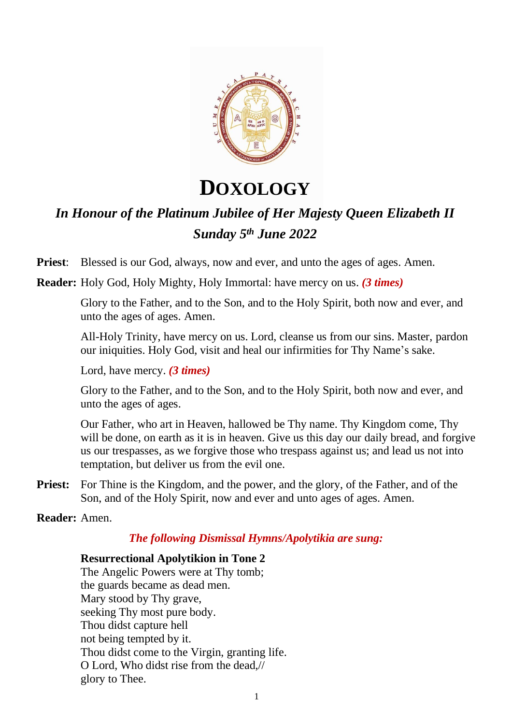

# **DOXOLOGY**

# *In Honour of the Platinum Jubilee of Her Majesty Queen Elizabeth II Sunday 5 th June 2022*

**Priest**: Blessed is our God, always, now and ever, and unto the ages of ages. Amen.

**Reader:** Holy God, Holy Mighty, Holy Immortal: have mercy on us. *(3 times)*

Glory to the Father, and to the Son, and to the Holy Spirit, both now and ever, and unto the ages of ages. Amen.

All-Holy Trinity, have mercy on us. Lord, cleanse us from our sins. Master, pardon our iniquities. Holy God, visit and heal our infirmities for Thy Name's sake.

Lord, have mercy. *(3 times)*

Glory to the Father, and to the Son, and to the Holy Spirit, both now and ever, and unto the ages of ages.

Our Father, who art in Heaven, hallowed be Thy name. Thy Kingdom come, Thy will be done, on earth as it is in heaven. Give us this day our daily bread, and forgive us our trespasses, as we forgive those who trespass against us; and lead us not into temptation, but deliver us from the evil one.

**Priest:** For Thine is the Kingdom, and the power, and the glory, of the Father, and of the Son, and of the Holy Spirit, now and ever and unto ages of ages. Amen.

# **Reader:** Amen.

# *The following Dismissal Hymns/Apolytikia are sung:*

# **Resurrectional Apolytikion in Tone 2**

The Angelic Powers were at Thy tomb; the guards became as dead men. Mary stood by Thy grave, seeking Thy most pure body. Thou didst capture hell not being tempted by it. Thou didst come to the Virgin, granting life. O Lord, Who didst rise from the dead,// glory to Thee.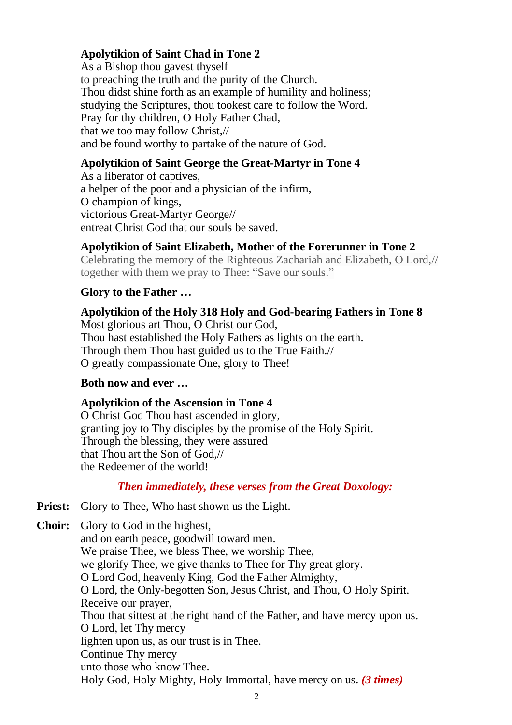## **Apolytikion of Saint Chad in Tone 2**

As a Bishop thou gavest thyself to preaching the truth and the purity of the Church. Thou didst shine forth as an example of humility and holiness; studying the Scriptures, thou tookest care to follow the Word. Pray for thy children, O Holy Father Chad, that we too may follow Christ,// and be found worthy to partake of the nature of God.

#### **Apolytikion of Saint George the Great-Martyr in Tone 4**

As a liberator of captives, a helper of the poor and a physician of the infirm, O champion of kings, victorious Great-Martyr George// entreat Christ God that our souls be saved.

#### **Apolytikion of Saint Elizabeth, Mother of the Forerunner in Tone 2**

Celebrating the memory of the Righteous Zachariah and Elizabeth, O Lord,// together with them we pray to Thee: "Save our souls."

### **Glory to the Father …**

**Apolytikion of the Holy 318 Holy and God-bearing Fathers in Tone 8** Most glorious art Thou, O Christ our God, Thou hast established the Holy Fathers as lights on the earth. Through them Thou hast guided us to the True Faith.// O greatly compassionate One, glory to Thee!

#### **Both now and ever …**

#### **Apolytikion of the Ascension in Tone 4**

O Christ God Thou hast ascended in glory, granting joy to Thy disciples by the promise of the Holy Spirit. Through the blessing, they were assured that Thou art the Son of God,// the Redeemer of the world!

#### *Then immediately, these verses from the Great Doxology:*

**Priest:** Glory to Thee, Who hast shown us the Light.

**Choir:** Glory to God in the highest, and on earth peace, goodwill toward men. We praise Thee, we bless Thee, we worship Thee, we glorify Thee, we give thanks to Thee for Thy great glory. O Lord God, heavenly King, God the Father Almighty, O Lord, the Only-begotten Son, Jesus Christ, and Thou, O Holy Spirit. Receive our prayer, Thou that sittest at the right hand of the Father, and have mercy upon us. O Lord, let Thy mercy lighten upon us, as our trust is in Thee. Continue Thy mercy unto those who know Thee. Holy God, Holy Mighty, Holy Immortal, have mercy on us. *(3 times)*